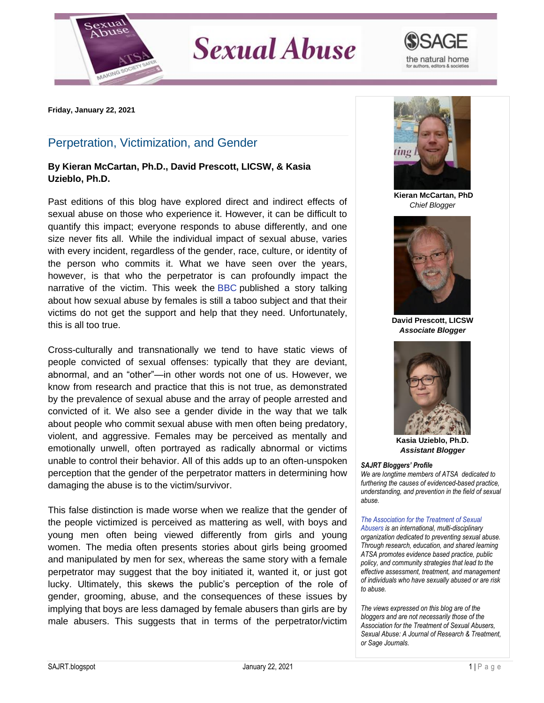

## **Sexual Abuse**



**Friday, January 22, 2021**

## Perpetration, Victimization, and Gender

## **By Kieran McCartan, Ph.D., David Prescott, LICSW, & Kasia Uzieblo, Ph.D.**

Past editions of this blog have explored direct and indirect effects of sexual abuse on those who experience it. However, it can be difficult to quantify this impact; everyone responds to abuse differently, and one size never fits all. While the individual impact of sexual abuse, varies with every incident, regardless of the gender, race, culture, or identity of the person who commits it. What we have seen over the years, however, is that who the perpetrator is can profoundly impact the narrative of the victim. This week the [BBC](https://www.bbc.co.uk/news/uk-55338745) published a story talking about how sexual abuse by females is still a taboo subject and that their victims do not get the support and help that they need. Unfortunately, this is all too true.

Cross-culturally and transnationally we tend to have static views of people convicted of sexual offenses: typically that they are deviant, abnormal, and an "other"—in other words not one of us. However, we know from research and practice that this is not true, as demonstrated by the prevalence of sexual abuse and the array of people arrested and convicted of it. We also see a gender divide in the way that we talk about people who commit sexual abuse with men often being predatory, violent, and aggressive. Females may be perceived as mentally and emotionally unwell, often portrayed as radically abnormal or victims unable to control their behavior. All of this adds up to an often-unspoken perception that the gender of the perpetrator matters in determining how damaging the abuse is to the victim/survivor.

This false distinction is made worse when we realize that the gender of the people victimized is perceived as mattering as well, with boys and young men often being viewed differently from girls and young women. The media often presents stories about girls being groomed and manipulated by men for sex, whereas the same story with a female perpetrator may suggest that the boy initiated it, wanted it, or just got lucky. Ultimately, this skews the public's perception of the role of gender, grooming, abuse, and the consequences of these issues by implying that boys are less damaged by female abusers than girls are by male abusers. This suggests that in terms of the perpetrator/victim



**Kieran McCartan, PhD** *Chief Blogger*



**David Prescott, LICSW** *Associate Blogger*



**Kasia Uzieblo, Ph.D.** *Assistant Blogger*

## *SAJRT Bloggers' Profile*

*We are longtime members of ATSA dedicated to furthering the causes of evidenced-based practice, understanding, and prevention in the field of sexual abuse.*

*[The Association for the Treatment of Sexual](http://atsa.com/)  [Abusers](http://atsa.com/) is an international, multi-disciplinary organization dedicated to preventing sexual abuse. Through research, education, and shared learning ATSA promotes evidence based practice, public policy, and community strategies that lead to the effective assessment, treatment, and management of individuals who have sexually abused or are risk to abuse.* 

*The views expressed on this blog are of the bloggers and are not necessarily those of the Association for the Treatment of Sexual Abusers, Sexual Abuse: A Journal of Research & Treatment, or Sage Journals.*